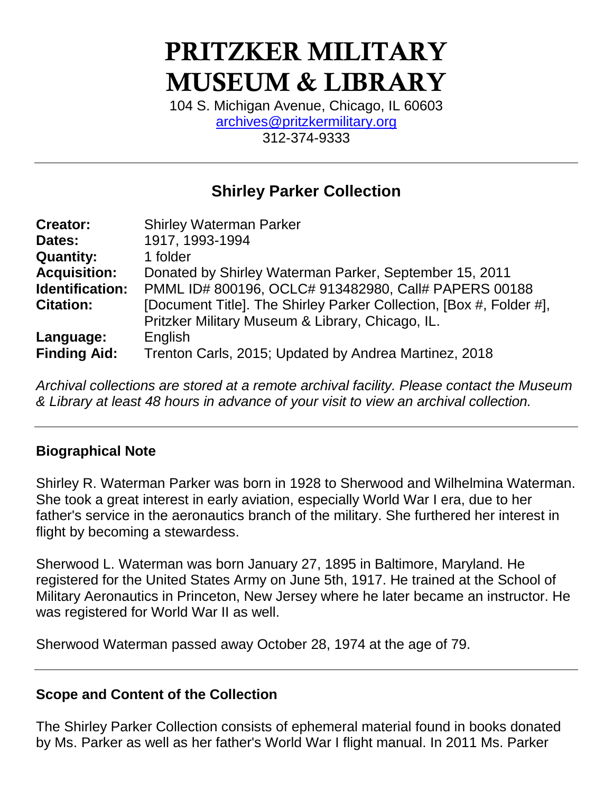# PRITZKER MILITARY MUSEUM & LIBRARY

104 S. Michigan Avenue, Chicago, IL 60603 [archives@pritzkermilitary.org](mailto:archives@pritzkermilitary.org) 312-374-9333

# **Shirley Parker Collection**

| <b>Creator:</b>     | <b>Shirley Waterman Parker</b>                                      |
|---------------------|---------------------------------------------------------------------|
| Dates:              | 1917, 1993-1994                                                     |
| <b>Quantity:</b>    | 1 folder                                                            |
| <b>Acquisition:</b> | Donated by Shirley Waterman Parker, September 15, 2011              |
| Identification:     | PMML ID# 800196, OCLC# 913482980, Call# PAPERS 00188                |
| <b>Citation:</b>    | [Document Title]. The Shirley Parker Collection, [Box #, Folder #], |
|                     | Pritzker Military Museum & Library, Chicago, IL.                    |
| Language:           | English                                                             |
| <b>Finding Aid:</b> | Trenton Carls, 2015; Updated by Andrea Martinez, 2018               |

*Archival collections are stored at a remote archival facility. Please contact the Museum & Library at least 48 hours in advance of your visit to view an archival collection.*

#### **Biographical Note**

Shirley R. Waterman Parker was born in 1928 to Sherwood and Wilhelmina Waterman. She took a great interest in early aviation, especially World War I era, due to her father's service in the aeronautics branch of the military. She furthered her interest in flight by becoming a stewardess.

Sherwood L. Waterman was born January 27, 1895 in Baltimore, Maryland. He registered for the United States Army on June 5th, 1917. He trained at the School of Military Aeronautics in Princeton, New Jersey where he later became an instructor. He was registered for World War II as well.

Sherwood Waterman passed away October 28, 1974 at the age of 79.

#### **Scope and Content of the Collection**

The Shirley Parker Collection consists of ephemeral material found in books donated by Ms. Parker as well as her father's World War I flight manual. In 2011 Ms. Parker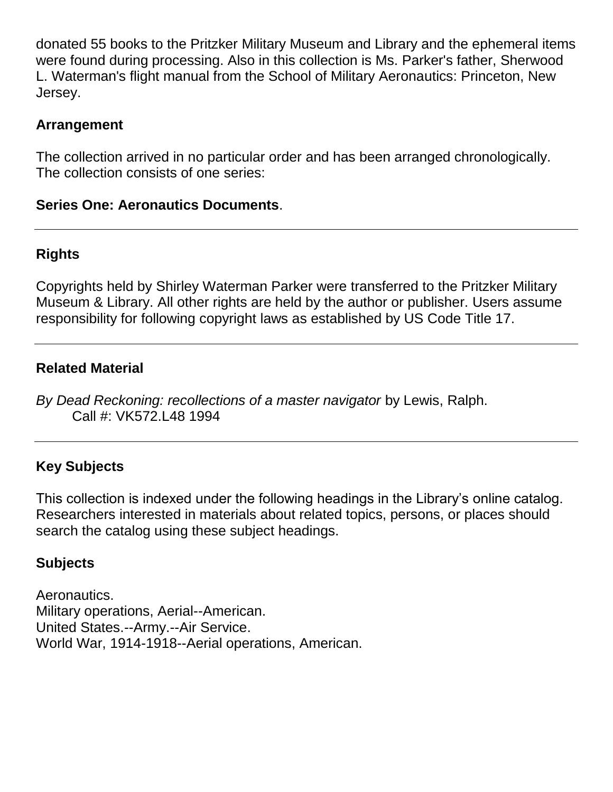donated 55 books to the Pritzker Military Museum and Library and the ephemeral items were found during processing. Also in this collection is Ms. Parker's father, Sherwood L. Waterman's flight manual from the School of Military Aeronautics: Princeton, New Jersey.

#### **Arrangement**

The collection arrived in no particular order and has been arranged chronologically. The collection consists of one series:

#### **Series One: Aeronautics Documents**.

## **Rights**

Copyrights held by Shirley Waterman Parker were transferred to the Pritzker Military Museum & Library. All other rights are held by the author or publisher. Users assume responsibility for following copyright laws as established by US Code Title 17.

### **Related Material**

*By Dead Reckoning: recollections of a master navigator* by Lewis, Ralph. Call #: VK572.L48 1994

# **Key Subjects**

This collection is indexed under the following headings in the Library's online catalog. Researchers interested in materials about related topics, persons, or places should search the catalog using these subject headings.

# **Subjects**

Aeronautics. Military operations, Aerial--American. United States.--Army.--Air Service. World War, 1914-1918--Aerial operations, American.